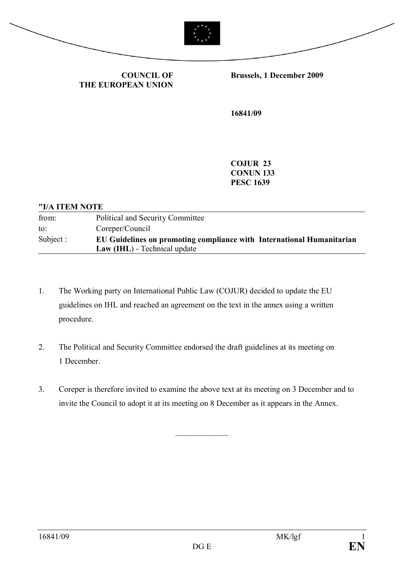

**COUNCIL OF THE EUROPEAN UNION** **Brussels, 1 December 2009**

**16841/09**

**COJUR 23 CONUN 133 PESC 1639**

| "I/A ITEM NOTE |                                                                                                       |
|----------------|-------------------------------------------------------------------------------------------------------|
| from:          | Political and Security Committee                                                                      |
| to:            | Coreper/Council                                                                                       |
| Subject :      | EU Guidelines on promoting compliance with International Humanitarian<br>Law (IHL) - Technical update |

- 1. The Working party on International Public Law (COJUR) decided to update the EU guidelines on IHL and reached an agreement on the text in the annex using a written procedure.
- 2. The Political and Security Committee endorsed the draft guidelines at its meeting on 1 December.
- 3. Coreper is therefore invited to examine the above text at its meeting on 3 December and to invite the Council to adopt it at its meeting on 8 December as it appears in the Annex.

 $\frac{1}{2}$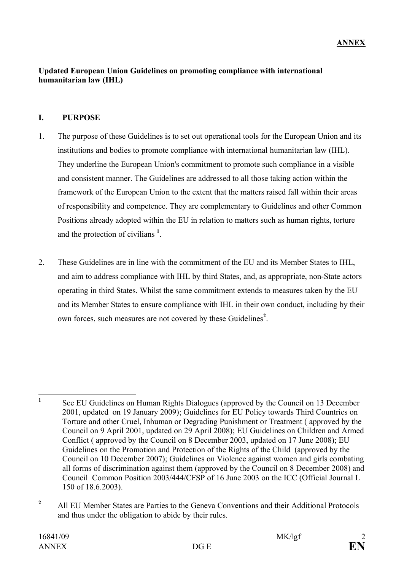#### **Updated European Union Guidelines on promoting compliance with international humanitarian law (IHL)**

## **I. PURPOSE**

- 1. The purpose of these Guidelines is to set out operational tools for the European Union and its institutions and bodies to promote compliance with international humanitarian law (IHL). They underline the European Union's commitment to promote such compliance in a visible and consistent manner. The Guidelines are addressed to all those taking action within the framework of the European Union to the extent that the matters raised fall within their areas of responsibility and competence. They are complementary to Guidelines and other Common Positions already adopted within the EU in relation to matters such as human rights, torture and the protection of civilians **<sup>1</sup>** .
- 2. These Guidelines are in line with the commitment of the EU and its Member States to IHL, and aim to address compliance with IHL by third States, and, as appropriate, non-State actors operating in third States. Whilst the same commitment extends to measures taken by the EU and its Member States to ensure compliance with IHL in their own conduct, including by their own forces, such measures are not covered by these Guidelines**<sup>2</sup>** .

**<sup>1</sup>** See EU Guidelines on Human Rights Dialogues (approved by the Council on 13 December 2001, updated on 19 January 2009); Guidelines for EU Policy towards Third Countries on Torture and other Cruel, Inhuman or Degrading Punishment or Treatment ( approved by the Council on 9 April 2001, updated on 29 April 2008); EU Guidelines on Children and Armed Conflict ( approved by the Council on 8 December 2003, updated on 17 June 2008); EU Guidelines on the Promotion and Protection of the Rights of the Child (approved by the Council on 10 December 2007); Guidelines on Violence against women and girls combating all forms of discrimination against them (approved by the Council on 8 December 2008) and Council Common Position 2003/444/CFSP of 16 June 2003 on the ICC (Official Journal L 150 of 18.6.2003).

<sup>&</sup>lt;sup>2</sup> All EU Member States are Parties to the Geneva Conventions and their Additional Protocols and thus under the obligation to abide by their rules.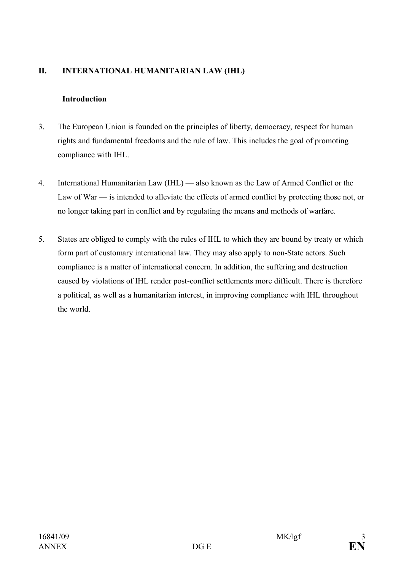# **II. INTERNATIONAL HUMANITARIAN LAW (IHL)**

# **Introduction**

- 3. The European Union is founded on the principles of liberty, democracy, respect for human rights and fundamental freedoms and the rule of law. This includes the goal of promoting compliance with IHL.
- 4. International Humanitarian Law (IHL) also known as the Law of Armed Conflict or the Law of War — is intended to alleviate the effects of armed conflict by protecting those not, or no longer taking part in conflict and by regulating the means and methods of warfare.
- 5. States are obliged to comply with the rules of IHL to which they are bound by treaty or which form part of customary international law. They may also apply to non-State actors. Such compliance is a matter of international concern. In addition, the suffering and destruction caused by violations of IHL render post-conflict settlements more difficult. There is therefore a political, as well as a humanitarian interest, in improving compliance with IHL throughout the world.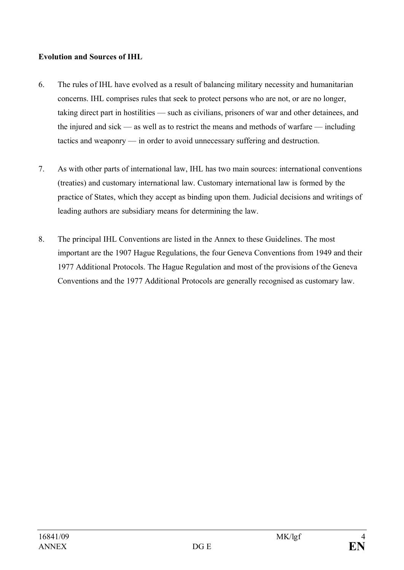## **Evolution and Sources of IHL**

- 6. The rules of IHL have evolved as a result of balancing military necessity and humanitarian concerns. IHL comprises rules that seek to protect persons who are not, or are no longer, taking direct part in hostilities — such as civilians, prisoners of war and other detainees, and the injured and sick — as well as to restrict the means and methods of warfare — including tactics and weaponry — in order to avoid unnecessary suffering and destruction.
- 7. As with other parts of international law, IHL has two main sources: international conventions (treaties) and customary international law. Customary international law is formed by the practice of States, which they accept as binding upon them. Judicial decisions and writings of leading authors are subsidiary means for determining the law.
- 8. The principal IHL Conventions are listed in the Annex to these Guidelines. The most important are the 1907 Hague Regulations, the four Geneva Conventions from 1949 and their 1977 Additional Protocols. The Hague Regulation and most of the provisions of the Geneva Conventions and the 1977 Additional Protocols are generally recognised as customary law.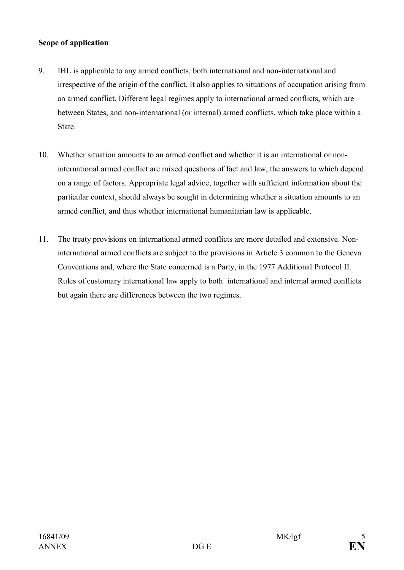## **Scope of application**

- 9. IHL is applicable to any armed conflicts, both international and non-international and irrespective of the origin of the conflict. It also applies to situations of occupation arising from an armed conflict. Different legal regimes apply to international armed conflicts, which are between States, and non-international (or internal) armed conflicts, which take place within a State.
- 10. Whether situation amounts to an armed conflict and whether it is an international or noninternational armed conflict are mixed questions of fact and law, the answers to which depend on a range of factors. Appropriate legal advice, together with sufficient information about the particular context, should always be sought in determining whether a situation amounts to an armed conflict, and thus whether international humanitarian law is applicable.
- 11. The treaty provisions on international armed conflicts are more detailed and extensive. Noninternational armed conflicts are subject to the provisions in Article 3 common to the Geneva Conventions and, where the State concerned is a Party, in the 1977 Additional Protocol II. Rules of customary international law apply to both international and internal armed conflicts but again there are differences between the two regimes.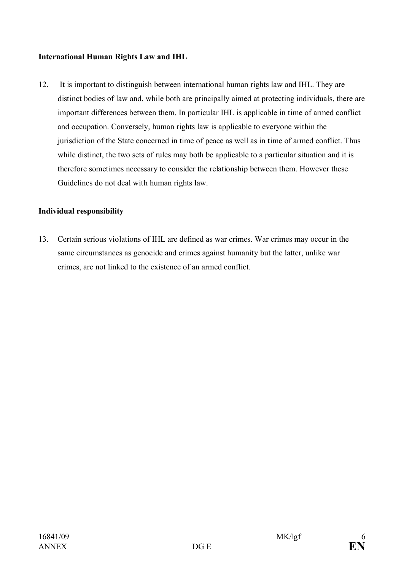### **International Human Rights Law and IHL**

12. It is important to distinguish between international human rights law and IHL. They are distinct bodies of law and, while both are principally aimed at protecting individuals, there are important differences between them. In particular IHL is applicable in time of armed conflict and occupation. Conversely, human rights law is applicable to everyone within the jurisdiction of the State concerned in time of peace as well as in time of armed conflict. Thus while distinct, the two sets of rules may both be applicable to a particular situation and it is therefore sometimes necessary to consider the relationship between them. However these Guidelines do not deal with human rights law.

# **Individual responsibility**

13. Certain serious violations of IHL are defined as war crimes. War crimes may occur in the same circumstances as genocide and crimes against humanity but the latter, unlike war crimes, are not linked to the existence of an armed conflict.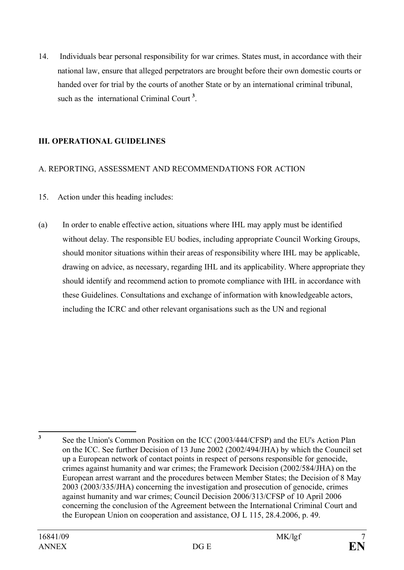14. Individuals bear personal responsibility for war crimes. States must, in accordance with their national law, ensure that alleged perpetrators are brought before their own domestic courts or handed over for trial by the courts of another State or by an international criminal tribunal, such as the international Criminal Court<sup>3</sup>.

# **III. OPERATIONAL GUIDELINES**

#### A. REPORTING, ASSESSMENT AND RECOMMENDATIONS FOR ACTION

- 15. Action under this heading includes:
- (a) In order to enable effective action, situations where IHL may apply must be identified without delay. The responsible EU bodies, including appropriate Council Working Groups, should monitor situations within their areas of responsibility where IHL may be applicable, drawing on advice, as necessary, regarding IHL and its applicability. Where appropriate they should identify and recommend action to promote compliance with IHL in accordance with these Guidelines. Consultations and exchange of information with knowledgeable actors, including the ICRC and other relevant organisations such as the UN and regional

**3** See the Union's Common Position on the ICC (2003/444/CFSP) and the EU's Action Plan on the ICC. See further Decision of 13 June 2002 (2002/494/JHA) by which the Council set up a European network of contact points in respect of persons responsible for genocide, crimes against humanity and war crimes; the Framework Decision (2002/584/JHA) on the European arrest warrant and the procedures between Member States; the Decision of 8 May 2003 (2003/335/JHA) concerning the investigation and prosecution of genocide, crimes against humanity and war crimes; Council Decision 2006/313/CFSP of 10 April 2006 concerning the conclusion of the Agreement between the International Criminal Court and the European Union on cooperation and assistance, OJ L 115, 28.4.2006, p. 49.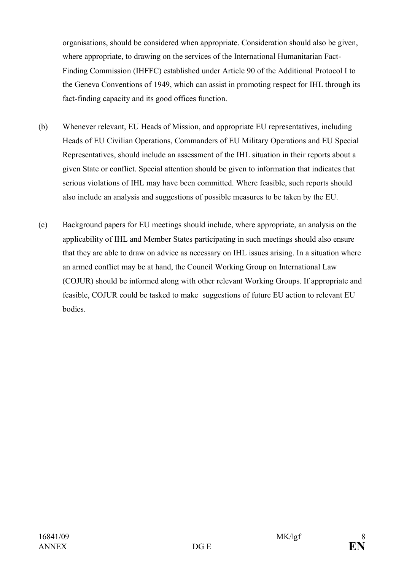organisations, should be considered when appropriate. Consideration should also be given, where appropriate, to drawing on the services of the International Humanitarian Fact-Finding Commission (IHFFC) established under Article 90 of the Additional Protocol I to the Geneva Conventions of 1949, which can assist in promoting respect for IHL through its fact-finding capacity and its good offices function.

- (b) Whenever relevant, EU Heads of Mission, and appropriate EU representatives, including Heads of EU Civilian Operations, Commanders of EU Military Operations and EU Special Representatives, should include an assessment of the IHL situation in their reports about a given State or conflict. Special attention should be given to information that indicates that serious violations of IHL may have been committed. Where feasible, such reports should also include an analysis and suggestions of possible measures to be taken by the EU.
- (c) Background papers for EU meetings should include, where appropriate, an analysis on the applicability of IHL and Member States participating in such meetings should also ensure that they are able to draw on advice as necessary on IHL issues arising. In a situation where an armed conflict may be at hand, the Council Working Group on International Law (COJUR) should be informed along with other relevant Working Groups. If appropriate and feasible, COJUR could be tasked to make suggestions of future EU action to relevant EU bodies.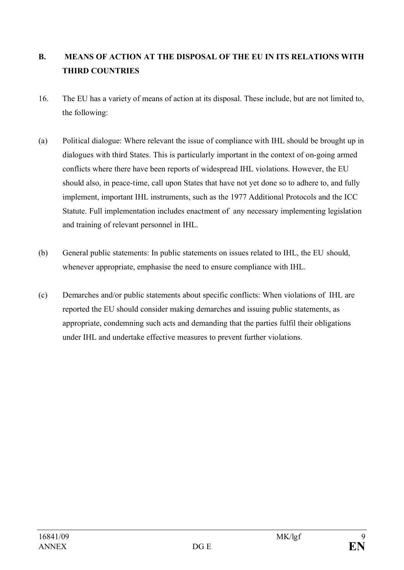# **B. MEANS OF ACTION AT THE DISPOSAL OF THE EU IN ITS RELATIONS WITH THIRD COUNTRIES**

- 16. The EU has a variety of means of action at its disposal. These include, but are not limited to, the following:
- (a) Political dialogue: Where relevant the issue of compliance with IHL should be brought up in dialogues with third States. This is particularly important in the context of on-going armed conflicts where there have been reports of widespread IHL violations. However, the EU should also, in peace-time, call upon States that have not yet done so to adhere to, and fully implement, important IHL instruments, such as the 1977 Additional Protocols and the ICC Statute. Full implementation includes enactment of any necessary implementing legislation and training of relevant personnel in IHL.
- (b) General public statements: In public statements on issues related to IHL, the EU should, whenever appropriate, emphasise the need to ensure compliance with IHL.
- (c) Demarches and/or public statements about specific conflicts: When violations of IHL are reported the EU should consider making demarches and issuing public statements, as appropriate, condemning such acts and demanding that the parties fulfil their obligations under IHL and undertake effective measures to prevent further violations.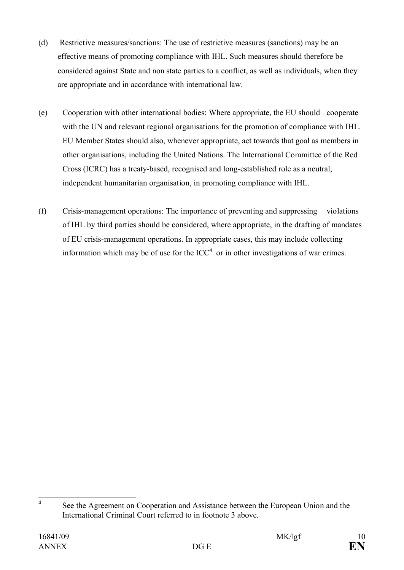- (d) Restrictive measures/sanctions: The use of restrictive measures (sanctions) may be an effective means of promoting compliance with IHL. Such measures should therefore be considered against State and non state parties to a conflict, as well as individuals, when they are appropriate and in accordance with international law.
- (e) Cooperation with other international bodies: Where appropriate, the EU should cooperate with the UN and relevant regional organisations for the promotion of compliance with IHL. EU Member States should also, whenever appropriate, act towards that goal as members in other organisations, including the United Nations. The International Committee of the Red Cross (ICRC) has a treaty-based, recognised and long-established role as a neutral, independent humanitarian organisation, in promoting compliance with IHL.
- (f) Crisis-management operations: The importance of preventing and suppressing violations of IHL by third parties should be considered, where appropriate, in the drafting of mandates of EU crisis-management operations. In appropriate cases, this may include collecting information which may be of use for the  $ICC<sup>4</sup>$  or in other investigations of war crimes.

**<sup>4</sup>** See the Agreement on Cooperation and Assistance between the European Union and the International Criminal Court referred to in footnote 3 above.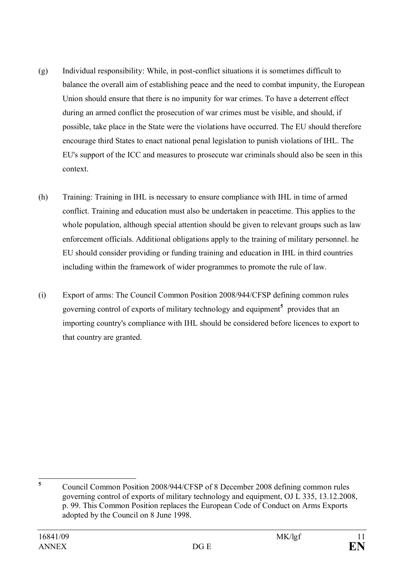- (g) Individual responsibility: While, in post-conflict situations it is sometimes difficult to balance the overall aim of establishing peace and the need to combat impunity, the European Union should ensure that there is no impunity for war crimes. To have a deterrent effect during an armed conflict the prosecution of war crimes must be visible, and should, if possible, take place in the State were the violations have occurred. The EU should therefore encourage third States to enact national penal legislation to punish violations of IHL. The EU's support of the ICC and measures to prosecute war criminals should also be seen in this context.
- (h) Training: Training in IHL is necessary to ensure compliance with IHL in time of armed conflict. Training and education must also be undertaken in peacetime. This applies to the whole population, although special attention should be given to relevant groups such as law enforcement officials. Additional obligations apply to the training of military personnel. he EU should consider providing or funding training and education in IHL in third countries including within the framework of wider programmes to promote the rule of law.
- (i) Export of arms: The Council Common Position 2008/944/CFSP defining common rules governing control of exports of military technology and equipment**<sup>5</sup>** provides that an importing country's compliance with IHL should be considered before licences to export to that country are granted.

**<sup>5</sup>** Council Common Position 2008/944/CFSP of 8 December 2008 defining common rules governing control of exports of military technology and equipment, OJ L 335, 13.12.2008, p. 99. This Common Position replaces the European Code of Conduct on Arms Exports adopted by the Council on 8 June 1998.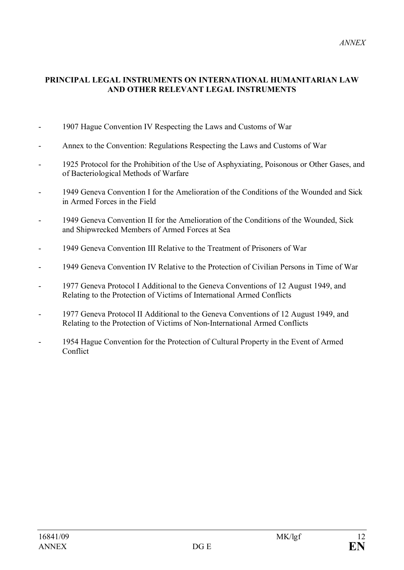#### **PRINCIPAL LEGAL INSTRUMENTS ON INTERNATIONAL HUMANITARIAN LAW AND OTHER RELEVANT LEGAL INSTRUMENTS**

- 1907 Hague Convention IV Respecting the Laws and Customs of War
- Annex to the Convention: Regulations Respecting the Laws and Customs of War
- 1925 Protocol for the Prohibition of the Use of Asphyxiating, Poisonous or Other Gases, and of Bacteriological Methods of Warfare
- 1949 Geneva Convention I for the Amelioration of the Conditions of the Wounded and Sick in Armed Forces in the Field
- 1949 Geneva Convention II for the Amelioration of the Conditions of the Wounded, Sick and Shipwrecked Members of Armed Forces at Sea
- 1949 Geneva Convention III Relative to the Treatment of Prisoners of War
- 1949 Geneva Convention IV Relative to the Protection of Civilian Persons in Time of War
- 1977 Geneva Protocol I Additional to the Geneva Conventions of 12 August 1949, and Relating to the Protection of Victims of International Armed Conflicts
- 1977 Geneva Protocol II Additional to the Geneva Conventions of 12 August 1949, and Relating to the Protection of Victims of Non-International Armed Conflicts
- 1954 Hague Convention for the Protection of Cultural Property in the Event of Armed Conflict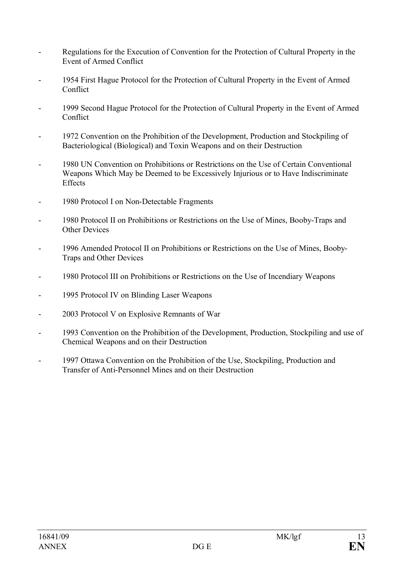- Regulations for the Execution of Convention for the Protection of Cultural Property in the Event of Armed Conflict
- 1954 First Hague Protocol for the Protection of Cultural Property in the Event of Armed **Conflict**
- 1999 Second Hague Protocol for the Protection of Cultural Property in the Event of Armed **Conflict**
- 1972 Convention on the Prohibition of the Development, Production and Stockpiling of Bacteriological (Biological) and Toxin Weapons and on their Destruction
- 1980 UN Convention on Prohibitions or Restrictions on the Use of Certain Conventional Weapons Which May be Deemed to be Excessively Injurious or to Have Indiscriminate Effects
- 1980 Protocol I on Non-Detectable Fragments
- 1980 Protocol II on Prohibitions or Restrictions on the Use of Mines, Booby-Traps and Other Devices
- 1996 Amended Protocol II on Prohibitions or Restrictions on the Use of Mines, Booby-Traps and Other Devices
- 1980 Protocol III on Prohibitions or Restrictions on the Use of Incendiary Weapons
- 1995 Protocol IV on Blinding Laser Weapons
- 2003 Protocol V on Explosive Remnants of War
- 1993 Convention on the Prohibition of the Development, Production, Stockpiling and use of Chemical Weapons and on their Destruction
- 1997 Ottawa Convention on the Prohibition of the Use, Stockpiling, Production and Transfer of Anti-Personnel Mines and on their Destruction